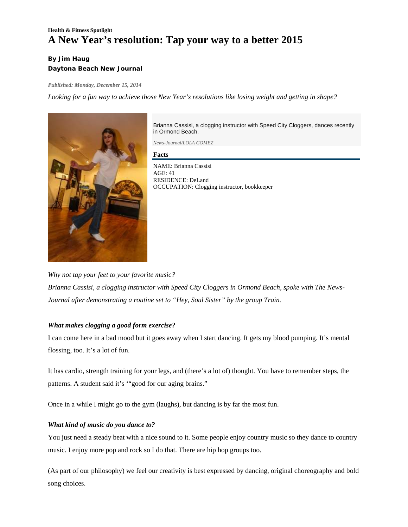# **Health & Fitness Spotlight A New Year's resolution: Tap your way to a better 2015**

## **By Jim Haug Daytona Beach New Journal**

*Published: Monday, December 15, 2014* 

*Looking for a fun way to achieve those New Year's resolutions like losing weight and getting in shape?* 



Brianna Cassisi, a clogging instructor with Speed City Cloggers, dances recently in Ormond Beach.

*News-Journal/LOLA GOMEZ*

**Facts** 

NAME: Brianna Cassisi AGE: 41 RESIDENCE: DeLand OCCUPATION: Clogging instructor, bookkeeper

*Why not tap your feet to your favorite music? Brianna Cassisi, a clogging instructor with Speed City Cloggers in Ormond Beach, spoke with The News-Journal after demonstrating a routine set to "Hey, Soul Sister" by the group Train.*

## *What makes clogging a good form exercise?*

I can come here in a bad mood but it goes away when I start dancing. It gets my blood pumping. It's mental flossing, too. It's a lot of fun.

It has cardio, strength training for your legs, and (there's a lot of) thought. You have to remember steps, the patterns. A student said it's '"good for our aging brains."

Once in a while I might go to the gym (laughs), but dancing is by far the most fun.

## *What kind of music do you dance to?*

You just need a steady beat with a nice sound to it. Some people enjoy country music so they dance to country music. I enjoy more pop and rock so I do that. There are hip hop groups too.

(As part of our philosophy) we feel our creativity is best expressed by dancing, original choreography and bold song choices.